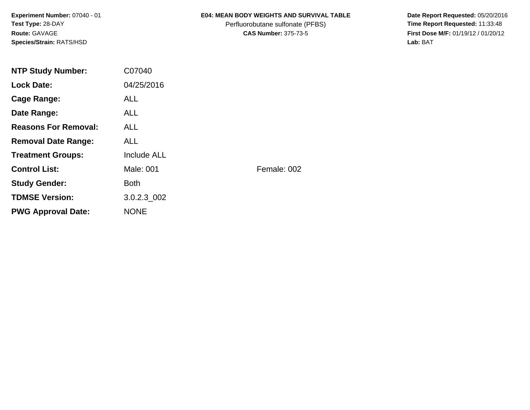**Experiment Number:** 07040 - 01**Test Type:** 28-DAY**Route:** GAVAGE**Species/Strain:** RATS/HSD

### **E04: MEAN BODY WEIGHTS AND SURVIVAL TABLE**

Perfluorobutane sulfonate (PFBS)<br>**CAS Number:** 375-73-5

 **Date Report Requested:** 05/20/2016 **First Dose M/F:** 01/19/12 / 01/20/12<br>Lab: BAT **Lab:** BAT

| <b>NTP Study Number:</b>    | C07040             |             |
|-----------------------------|--------------------|-------------|
| <b>Lock Date:</b>           | 04/25/2016         |             |
| Cage Range:                 | <b>ALL</b>         |             |
| Date Range:                 | ALL.               |             |
| <b>Reasons For Removal:</b> | <b>ALL</b>         |             |
| <b>Removal Date Range:</b>  | ALL.               |             |
| <b>Treatment Groups:</b>    | <b>Include ALL</b> |             |
| <b>Control List:</b>        | Male: 001          | Female: 002 |
| <b>Study Gender:</b>        | <b>Both</b>        |             |
| <b>TDMSE Version:</b>       | 3.0.2.3 002        |             |
| <b>PWG Approval Date:</b>   | <b>NONE</b>        |             |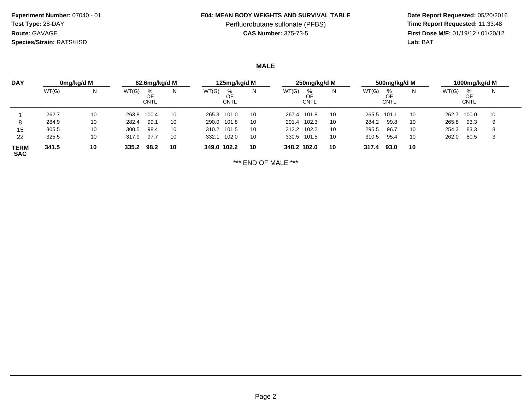**Experiment Number:** 07040 - 01**Test Type:** 28-DAY**Route:** GAVAGE**Species/Strain:** RATS/HSD

#### **E04: MEAN BODY WEIGHTS AND SURVIVAL TABLE**

# Perfluorobutane sulfonate (PFBS)<br>**CAS Number:** 375-73-5

 **Date Report Requested:** 05/20/2016 **First Dose M/F:** 01/19/12 / 01/20/12<br>**Lab:** BAT **Lab:** BAT

**MALE**

| <b>DAY</b>                |       | 0mg/kg/d M |       | 62.6mg/kg/d M   |    |             | 125mg/kg/d M    |    |       | 250mg/kg/d M |    |       | 500mg/kg/d M    |    |       | 1000mg/kg/d M   |    |
|---------------------------|-------|------------|-------|-----------------|----|-------------|-----------------|----|-------|--------------|----|-------|-----------------|----|-------|-----------------|----|
|                           | WT(G) | N          | WT(G) | %<br>OF<br>CNTL | Ν  | WT(G)       | ℅<br>OF<br>CNTL | N  | WT(G) | %<br>CNTL    | N  | WT(G) | %<br>OF<br>CNTL | N  | WT(G) | %<br>OF<br>CNTL | N  |
|                           | 262.7 | 10         | 263.8 | 100.4           | 10 | 265.3 101.0 |                 | 10 | 267.4 | 101.8        | 10 | 265.5 | 101.1           | 10 | 262.7 | 100.0           | 10 |
| 8                         | 284.9 | 10         | 282.4 | 99.7            | 10 | 290.0       | 101.8           | 10 | 291.4 | 102.3        | 10 | 284.2 | 99.8            | 10 | 265.8 | 93.3            | 9  |
| 15                        | 305.5 | 10         | 300.5 | 98.4            | 10 | 310.2 101.5 |                 | 10 | 312.2 | 102.2        | 10 | 295.5 | 96.7            | 10 | 254.3 | 83.3            | 8  |
| 22                        | 325.5 | 10         | 317.9 | 97.7            | 10 | 332.1       | 102.0           | 10 | 330.5 | 101.5        | 10 | 310.5 | 95.4            | 10 | 262.0 | 80.5            | -3 |
| <b>TERM</b><br><b>SAC</b> | 341.5 | 10         | 335.2 | 98.2            | 10 | 349.0 102.2 |                 | 10 |       | 348.2 102.0  | 10 | 317.4 | 93.0            | 10 |       |                 |    |

\*\*\* END OF MALE \*\*\*